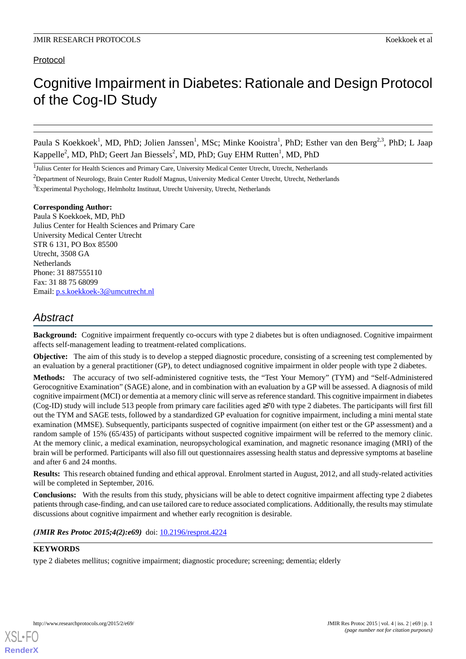# Protocol

# Cognitive Impairment in Diabetes: Rationale and Design Protocol of the Cog-ID Study

Paula S Koekkoek<sup>1</sup>, MD, PhD; Jolien Janssen<sup>1</sup>, MSc; Minke Kooistra<sup>1</sup>, PhD; Esther van den Berg<sup>2,3</sup>, PhD; L Jaap Kappelle<sup>2</sup>, MD, PhD; Geert Jan Biessels<sup>2</sup>, MD, PhD; Guy EHM Rutten<sup>1</sup>, MD, PhD

<sup>1</sup>Julius Center for Health Sciences and Primary Care, University Medical Center Utrecht, Utrecht, Netherlands

<sup>3</sup>Experimental Psychology, Helmholtz Instituut, Utrecht University, Utrecht, Netherlands

#### **Corresponding Author:**

Paula S Koekkoek, MD, PhD Julius Center for Health Sciences and Primary Care University Medical Center Utrecht STR 6 131, PO Box 85500 Utrecht, 3508 GA **Netherlands** Phone: 31 887555110 Fax: 31 88 75 68099 Email: [p.s.koekkoek-3@umcutrecht.nl](mailto:p.s.koekkoek-3@umcutrecht.nl)

# *Abstract*

**Background:** Cognitive impairment frequently co-occurs with type 2 diabetes but is often undiagnosed. Cognitive impairment affects self-management leading to treatment-related complications.

**Objective:** The aim of this study is to develop a stepped diagnostic procedure, consisting of a screening test complemented by an evaluation by a general practitioner (GP), to detect undiagnosed cognitive impairment in older people with type 2 diabetes.

**Methods:** The accuracy of two self-administered cognitive tests, the "Test Your Memory" (TYM) and "Self-Administered Gerocognitive Examination" (SAGE) alone, and in combination with an evaluation by a GP will be assessed. A diagnosis of mild cognitive impairment (MCI) or dementia at a memory clinic will serve as reference standard. This cognitive impairment in diabetes (Cog-ID) study will include 513 people from primary care facilities aged ≥70 with type 2 diabetes. The participants will first fill out the TYM and SAGE tests, followed by a standardized GP evaluation for cognitive impairment, including a mini mental state examination (MMSE). Subsequently, participants suspected of cognitive impairment (on either test or the GP assessment) and a random sample of 15% (65/435) of participants without suspected cognitive impairment will be referred to the memory clinic. At the memory clinic, a medical examination, neuropsychological examination, and magnetic resonance imaging (MRI) of the brain will be performed. Participants will also fill out questionnaires assessing health status and depressive symptoms at baseline and after 6 and 24 months.

**Results:** This research obtained funding and ethical approval. Enrolment started in August, 2012, and all study-related activities will be completed in September, 2016.

**Conclusions:** With the results from this study, physicians will be able to detect cognitive impairment affecting type 2 diabetes patients through case-finding, and can use tailored care to reduce associated complications. Additionally, the results may stimulate discussions about cognitive impairment and whether early recognition is desirable.

# (*JMIR Res Protoc 2015;4(2):e69*) doi:  $10.2196$ /resprot.4224

# **KEYWORDS**

[XSL](http://www.w3.org/Style/XSL)•FO **[RenderX](http://www.renderx.com/)**

type 2 diabetes mellitus; cognitive impairment; diagnostic procedure; screening; dementia; elderly

<sup>&</sup>lt;sup>2</sup>Department of Neurology, Brain Center Rudolf Magnus, University Medical Center Utrecht, Utrecht, Netherlands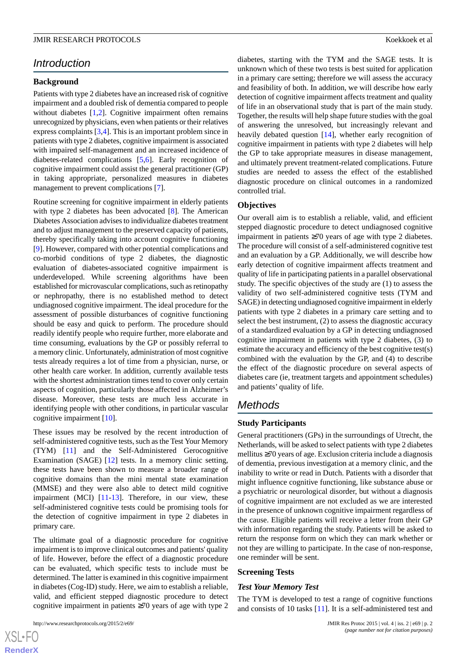# *Introduction*

#### **Background**

Patients with type 2 diabetes have an increased risk of cognitive impairment and a doubled risk of dementia compared to people without diabetes [\[1](#page-7-0),[2\]](#page-7-1). Cognitive impairment often remains unrecognized by physicians, even when patients or their relatives express complaints [[3](#page-7-2)[,4](#page-7-3)]. This is an important problem since in patients with type 2 diabetes, cognitive impairment is associated with impaired self-management and an increased incidence of diabetes-related complications [\[5](#page-7-4),[6\]](#page-8-0). Early recognition of cognitive impairment could assist the general practitioner (GP) in taking appropriate, personalized measures in diabetes management to prevent complications [\[7](#page-8-1)].

Routine screening for cognitive impairment in elderly patients with type 2 diabetes has been advocated [\[8](#page-8-2)]. The American Diabetes Association advises to individualize diabetes treatment and to adjust management to the preserved capacity of patients, thereby specifically taking into account cognitive functioning [[9\]](#page-8-3). However, compared with other potential complications and co-morbid conditions of type 2 diabetes, the diagnostic evaluation of diabetes-associated cognitive impairment is underdeveloped. While screening algorithms have been established for microvascular complications, such as retinopathy or nephropathy, there is no established method to detect undiagnosed cognitive impairment. The ideal procedure for the assessment of possible disturbances of cognitive functioning should be easy and quick to perform. The procedure should readily identify people who require further, more elaborate and time consuming, evaluations by the GP or possibly referral to a memory clinic. Unfortunately, administration of most cognitive tests already requires a lot of time from a physician, nurse, or other health care worker. In addition, currently available tests with the shortest administration times tend to cover only certain aspects of cognition, particularly those affected in Alzheimer's disease. Moreover, these tests are much less accurate in identifying people with other conditions, in particular vascular cognitive impairment [[10\]](#page-8-4).

These issues may be resolved by the recent introduction of self-administered cognitive tests, such as the Test Your Memory (TYM) [[11\]](#page-8-5) and the Self-Administered Gerocognitive Examination (SAGE) [\[12](#page-8-6)] tests. In a memory clinic setting, these tests have been shown to measure a broader range of cognitive domains than the mini mental state examination (MMSE) and they were also able to detect mild cognitive impairment (MCI) [\[11](#page-8-5)[-13](#page-8-7)]. Therefore, in our view, these self-administered cognitive tests could be promising tools for the detection of cognitive impairment in type 2 diabetes in primary care.

The ultimate goal of a diagnostic procedure for cognitive impairment is to improve clinical outcomes and patients' quality of life. However, before the effect of a diagnostic procedure can be evaluated, which specific tests to include must be determined. The latter is examined in this cognitive impairment in diabetes (Cog-ID) study. Here, we aim to establish a reliable, valid, and efficient stepped diagnostic procedure to detect cognitive impairment in patients ≥70 years of age with type 2

 $XS$  • FC **[RenderX](http://www.renderx.com/)** diabetes, starting with the TYM and the SAGE tests. It is unknown which of these two tests is best suited for application in a primary care setting; therefore we will assess the accuracy and feasibility of both. In addition, we will describe how early detection of cognitive impairment affects treatment and quality of life in an observational study that is part of the main study. Together, the results will help shape future studies with the goal of answering the unresolved, but increasingly relevant and heavily debated question [[14\]](#page-8-8), whether early recognition of cognitive impairment in patients with type 2 diabetes will help the GP to take appropriate measures in disease management, and ultimately prevent treatment-related complications. Future studies are needed to assess the effect of the established diagnostic procedure on clinical outcomes in a randomized controlled trial.

#### **Objectives**

Our overall aim is to establish a reliable, valid, and efficient stepped diagnostic procedure to detect undiagnosed cognitive impairment in patients ≥70 years of age with type 2 diabetes. The procedure will consist of a self-administered cognitive test and an evaluation by a GP. Additionally, we will describe how early detection of cognitive impairment affects treatment and quality of life in participating patients in a parallel observational study. The specific objectives of the study are (1) to assess the validity of two self-administered cognitive tests (TYM and SAGE) in detecting undiagnosed cognitive impairment in elderly patients with type 2 diabetes in a primary care setting and to select the best instrument, (2) to assess the diagnostic accuracy of a standardized evaluation by a GP in detecting undiagnosed cognitive impairment in patients with type 2 diabetes, (3) to estimate the accuracy and efficiency of the best cognitive test(s) combined with the evaluation by the GP, and (4) to describe the effect of the diagnostic procedure on several aspects of diabetes care (ie, treatment targets and appointment schedules) and patients' quality of life.

# *Methods*

## **Study Participants**

General practitioners (GPs) in the surroundings of Utrecht, the Netherlands, will be asked to select patients with type 2 diabetes mellitus ≥70 years of age. Exclusion criteria include a diagnosis of dementia, previous investigation at a memory clinic, and the inability to write or read in Dutch. Patients with a disorder that might influence cognitive functioning, like substance abuse or a psychiatric or neurological disorder, but without a diagnosis of cognitive impairment are not excluded as we are interested in the presence of unknown cognitive impairment regardless of the cause. Eligible patients will receive a letter from their GP with information regarding the study. Patients will be asked to return the response form on which they can mark whether or not they are willing to participate. In the case of non-response, one reminder will be sent.

#### **Screening Tests**

#### *Test Your Memory Test*

The TYM is developed to test a range of cognitive functions and consists of 10 tasks [\[11](#page-8-5)]. It is a self-administered test and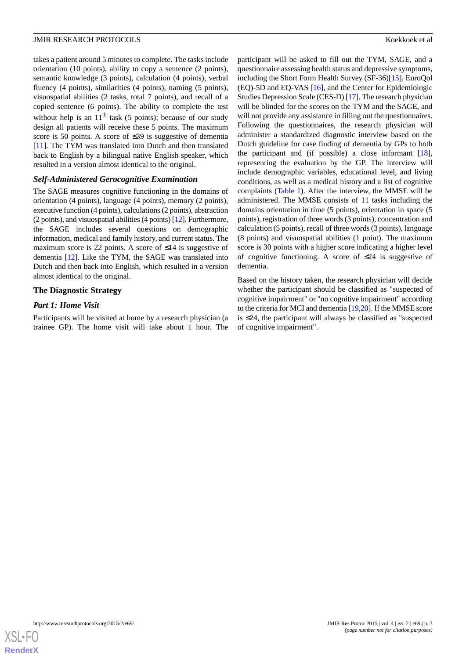takes a patient around 5 minutes to complete. The tasks include orientation (10 points), ability to copy a sentence (2 points), semantic knowledge (3 points), calculation (4 points), verbal fluency (4 points), similarities (4 points), naming (5 points), visuospatial abilities (2 tasks, total 7 points), and recall of a copied sentence (6 points). The ability to complete the test without help is an  $11<sup>th</sup>$  task (5 points); because of our study

design all patients will receive these 5 points. The maximum score is 50 points. A score of ≤39 is suggestive of dementia [[11\]](#page-8-5). The TYM was translated into Dutch and then translated back to English by a bilingual native English speaker, which resulted in a version almost identical to the original.

# *Self-Administered Gerocognitive Examination*

The SAGE measures cognitive functioning in the domains of orientation (4 points), language (4 points), memory (2 points), executive function (4 points), calculations (2 points), abstraction (2 points), and visuospatial abilities (4 points) [\[12\]](#page-8-6). Furthermore, the SAGE includes several questions on demographic information, medical and family history, and current status. The maximum score is 22 points. A score of  $\leq 14$  is suggestive of dementia [[12\]](#page-8-6). Like the TYM, the SAGE was translated into Dutch and then back into English, which resulted in a version almost identical to the original.

# **The Diagnostic Strategy**

# *Part 1: Home Visit*

Participants will be visited at home by a research physician (a trainee GP). The home visit will take about 1 hour. The

participant will be asked to fill out the TYM, SAGE, and a questionnaire assessing health status and depressive symptoms, including the Short Form Health Survey (SF-36)[\[15](#page-8-9)], EuroQol (EQ)-5D and EQ-VAS [\[16](#page-8-10)], and the Center for Epidemiologic Studies Depression Scale (CES-D) [\[17\]](#page-8-11). The research physician will be blinded for the scores on the TYM and the SAGE, and will not provide any assistance in filling out the questionnaires. Following the questionnaires, the research physician will administer a standardized diagnostic interview based on the Dutch guideline for case finding of dementia by GPs to both the participant and (if possible) a close informant  $[18]$  $[18]$ , representing the evaluation by the GP. The interview will include demographic variables, educational level, and living conditions, as well as a medical history and a list of cognitive complaints [\(Table 1](#page-3-0)). After the interview, the MMSE will be administered. The MMSE consists of 11 tasks including the domains orientation in time (5 points), orientation in space (5 points), registration of three words (3 points), concentration and calculation (5 points), recall of three words (3 points), language (8 points) and visuospatial abilities (1 point). The maximum score is 30 points with a higher score indicating a higher level of cognitive functioning. A score of  $\leq 24$  is suggestive of dementia.

Based on the history taken, the research physician will decide whether the participant should be classified as "suspected of cognitive impairment" or "no cognitive impairment" according to the criteria for MCI and dementia [\[19](#page-8-13),[20\]](#page-8-14). If the MMSE score is ≤24, the participant will always be classified as "suspected of cognitive impairment".

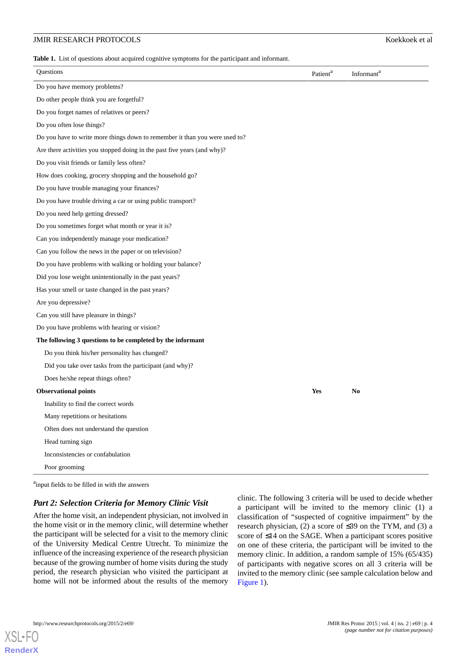#### JMIR RESEARCH PROTOCOLS Koekkoek et al

<span id="page-3-0"></span>**Table 1.** List of questions about acquired cognitive symptoms for the participant and informant.

| Questions                                                                   | Patient <sup>a</sup> | Informant <sup>a</sup> |
|-----------------------------------------------------------------------------|----------------------|------------------------|
| Do you have memory problems?                                                |                      |                        |
| Do other people think you are forgetful?                                    |                      |                        |
| Do you forget names of relatives or peers?                                  |                      |                        |
| Do you often lose things?                                                   |                      |                        |
| Do you have to write more things down to remember it than you were used to? |                      |                        |
| Are there activities you stopped doing in the past five years (and why)?    |                      |                        |
| Do you visit friends or family less often?                                  |                      |                        |
| How does cooking, grocery shopping and the household go?                    |                      |                        |
| Do you have trouble managing your finances?                                 |                      |                        |
| Do you have trouble driving a car or using public transport?                |                      |                        |
| Do you need help getting dressed?                                           |                      |                        |
| Do you sometimes forget what month or year it is?                           |                      |                        |
| Can you independently manage your medication?                               |                      |                        |
| Can you follow the news in the paper or on television?                      |                      |                        |
| Do you have problems with walking or holding your balance?                  |                      |                        |
| Did you lose weight unintentionally in the past years?                      |                      |                        |
| Has your smell or taste changed in the past years?                          |                      |                        |
| Are you depressive?                                                         |                      |                        |
| Can you still have pleasure in things?                                      |                      |                        |
| Do you have problems with hearing or vision?                                |                      |                        |
| The following 3 questions to be completed by the informant                  |                      |                        |
| Do you think his/her personality has changed?                               |                      |                        |
| Did you take over tasks from the participant (and why)?                     |                      |                        |
| Does he/she repeat things often?                                            |                      |                        |
| <b>Observational points</b>                                                 | Yes                  | N <sub>0</sub>         |
| Inability to find the correct words                                         |                      |                        |
| Many repetitions or hesitations                                             |                      |                        |
| Often does not understand the question                                      |                      |                        |
| Head turning sign                                                           |                      |                        |
| Inconsistencies or confabulation                                            |                      |                        |
| Poor grooming                                                               |                      |                        |

<sup>a</sup>input fields to be filled in with the answers

#### *Part 2: Selection Criteria for Memory Clinic Visit*

After the home visit, an independent physician, not involved in the home visit or in the memory clinic, will determine whether the participant will be selected for a visit to the memory clinic of the University Medical Centre Utrecht. To minimize the influence of the increasing experience of the research physician because of the growing number of home visits during the study period, the research physician who visited the participant at home will not be informed about the results of the memory

clinic. The following 3 criteria will be used to decide whether a participant will be invited to the memory clinic (1) a classification of "suspected of cognitive impairment" by the research physician, (2) a score of ≤39 on the TYM, and (3) a score of ≤14 on the SAGE. When a participant scores positive on one of these criteria, the participant will be invited to the memory clinic. In addition, a random sample of 15% (65/435) of participants with negative scores on all 3 criteria will be invited to the memory clinic (see sample calculation below and [Figure 1](#page-4-0)).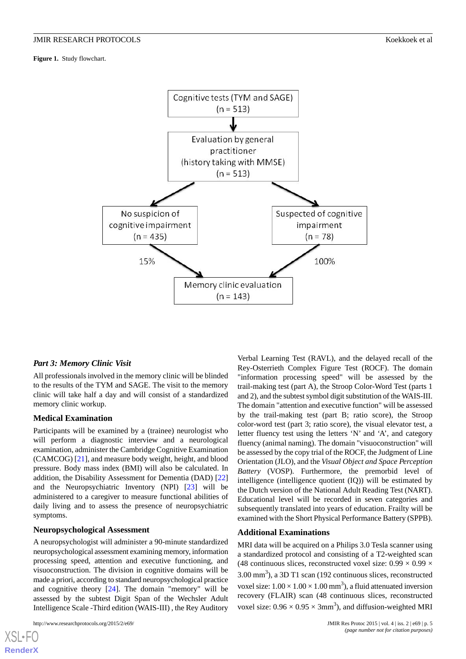<span id="page-4-0"></span>**Figure 1.** Study flowchart.



#### *Part 3: Memory Clinic Visit*

All professionals involved in the memory clinic will be blinded to the results of the TYM and SAGE. The visit to the memory clinic will take half a day and will consist of a standardized memory clinic workup.

#### **Medical Examination**

Participants will be examined by a (trainee) neurologist who will perform a diagnostic interview and a neurological examination, administer the Cambridge Cognitive Examination (CAMCOG) [[21\]](#page-8-15), and measure body weight, height, and blood pressure. Body mass index (BMI) will also be calculated. In addition, the Disability Assessment for Dementia (DAD) [\[22](#page-8-16)] and the Neuropsychiatric Inventory (NPI) [[23\]](#page-8-17) will be administered to a caregiver to measure functional abilities of daily living and to assess the presence of neuropsychiatric symptoms.

#### **Neuropsychological Assessment**

A neuropsychologist will administer a 90-minute standardized neuropsychological assessment examining memory, information processing speed, attention and executive functioning, and visuoconstruction. The division in cognitive domains will be made a priori, according to standard neuropsychological practice and cognitive theory [\[24](#page-8-18)]. The domain "memory" will be assessed by the subtest Digit Span of the Wechsler Adult Intelligence Scale -Third edition (WAIS-III) , the Rey Auditory

```
http://www.researchprotocols.org/2015/2/e69/ JMIR Res Protoc 2015 | vol. 4 | iss. 2 | e69 | p. 5
```
[XSL](http://www.w3.org/Style/XSL)•FO **[RenderX](http://www.renderx.com/)**

Verbal Learning Test (RAVL), and the delayed recall of the Rey-Osterrieth Complex Figure Test (ROCF). The domain "information processing speed" will be assessed by the trail-making test (part A), the Stroop Color-Word Test (parts 1 and 2), and the subtest symbol digit substitution of the WAIS-III. The domain "attention and executive function" will be assessed by the trail-making test (part B; ratio score), the Stroop color-word test (part 3; ratio score), the visual elevator test, a letter fluency test using the letters 'N' and 'A', and category fluency (animal naming). The domain "visuoconstruction" will be assessed by the copy trial of the ROCF, the Judgment of Line Orientation (JLO), and the *Visual Object and Space Perception Battery* (VOSP). Furthermore, the premorbid level of intelligence (intelligence quotient (IQ)) will be estimated by the Dutch version of the National Adult Reading Test (NART). Educational level will be recorded in seven categories and subsequently translated into years of education. Frailty will be examined with the Short Physical Performance Battery (SPPB).

## **Additional Examinations**

MRI data will be acquired on a Philips 3.0 Tesla scanner using a standardized protocol and consisting of a T2-weighted scan (48 continuous slices, reconstructed voxel size:  $0.99 \times 0.99 \times$  $3.00 \text{ mm}^3$ ), a  $3D \text{ T1}$  scan (192 continuous slices, reconstructed voxel size:  $1.00 \times 1.00 \times 1.00$  mm<sup>3</sup>), a fluid attenuated inversion recovery (FLAIR) scan (48 continuous slices, reconstructed voxel size:  $0.96 \times 0.95 \times 3 \text{mm}^3$ ), and diffusion-weighted MRI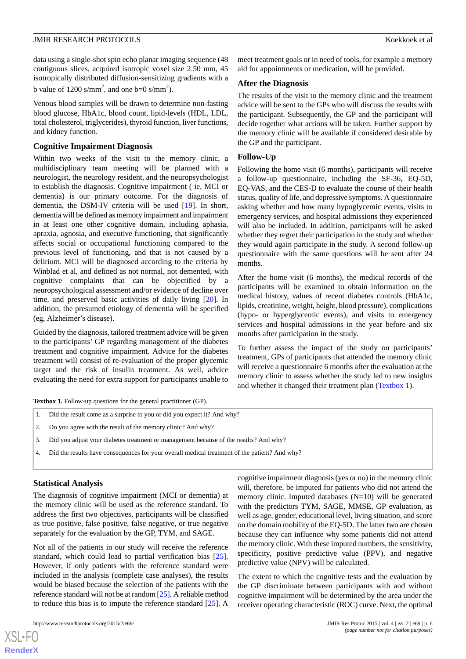data using a single-shot spin echo planar imaging sequence (48 contiguous slices, acquired isotropic voxel size 2.50 mm, 45 isotropically distributed diffusion-sensitizing gradients with a b value of 1200 s/mm<sup>2</sup>, and one b=0 s/mm<sup>2</sup>).

Venous blood samples will be drawn to determine non-fasting blood glucose, HbA1c, blood count, lipid-levels (HDL, LDL, total cholesterol, triglycerides), thyroid function, liver functions, and kidney function.

#### **Cognitive Impairment Diagnosis**

Within two weeks of the visit to the memory clinic, a multidisciplinary team meeting will be planned with a neurologist, the neurology resident, and the neuropsychologist to establish the diagnosis. Cognitive impairment ( ie, MCI or dementia) is our primary outcome. For the diagnosis of dementia, the DSM-IV criteria will be used [[19\]](#page-8-13). In short, dementia will be defined as memory impairment and impairment in at least one other cognitive domain, including aphasia, apraxia, agnosia, and executive functioning, that significantly affects social or occupational functioning compared to the previous level of functioning, and that is not caused by a delirium. MCI will be diagnosed according to the criteria by Winblad et al, and defined as not normal, not demented, with cognitive complaints that can be objectified by a neuropsychological assessment and/or evidence of decline over time, and preserved basic activities of daily living [[20\]](#page-8-14). In addition, the presumed etiology of dementia will be specified (eg, Alzheimer's disease).

<span id="page-5-0"></span>Guided by the diagnosis, tailored treatment advice will be given to the participants' GP regarding management of the diabetes treatment and cognitive impairment. Advice for the diabetes treatment will consist of re-evaluation of the proper glycemic target and the risk of insulin treatment. As well, advice evaluating the need for extra support for participants unable to

**Textbox 1.** Follow-up questions for the general practitioner (GP).

- 1. Did the result come as a surprise to you or did you expect it? And why?
- 2. Do you agree with the result of the memory clinic? And why?
- 3. Did you adjust your diabetes treatment or management because of the results? And why?
- 4. Did the results have consequences for your overall medical treatment of the patient? And why?

#### **Statistical Analysis**

The diagnosis of cognitive impairment (MCI or dementia) at the memory clinic will be used as the reference standard. To address the first two objectives, participants will be classified as true positive, false positive, false negative, or true negative separately for the evaluation by the GP, TYM, and SAGE.

Not all of the patients in our study will receive the reference standard, which could lead to partial verification bias [[25\]](#page-8-19). However, if only patients with the reference standard were included in the analysis (complete case analyses), the results would be biased because the selection of the patients with the reference standard will not be at random [[25\]](#page-8-19). A reliable method to reduce this bias is to impute the reference standard [[25\]](#page-8-19). A

 $XS$ -FO **[RenderX](http://www.renderx.com/)** meet treatment goals or in need of tools, for example a memory aid for appointments or medication, will be provided.

#### **After the Diagnosis**

The results of the visit to the memory clinic and the treatment advice will be sent to the GPs who will discuss the results with the participant. Subsequently, the GP and the participant will decide together what actions will be taken. Further support by the memory clinic will be available if considered desirable by the GP and the participant.

#### **Follow-Up**

Following the home visit (6 months), participants will receive a follow-up questionnaire, including the SF-36, EQ-5D, EQ-VAS, and the CES-D to evaluate the course of their health status, quality of life, and depressive symptoms. A questionnaire asking whether and how many hypoglycemic events, visits to emergency services, and hospital admissions they experienced will also be included. In addition, participants will be asked whether they regret their participation in the study and whether they would again participate in the study. A second follow-up questionnaire with the same questions will be sent after 24 months.

After the home visit (6 months), the medical records of the participants will be examined to obtain information on the medical history, values of recent diabetes controls (HbA1c, lipids, creatinine, weight, height, blood pressure), complications (hypo- or hyperglycemic events), and visits to emergency services and hospital admissions in the year before and six months after participation in the study.

To further assess the impact of the study on participants' treatment, GPs of participants that attended the memory clinic will receive a questionnaire 6 months after the evaluation at the memory clinic to assess whether the study led to new insights and whether it changed their treatment plan [\(Textbox 1](#page-5-0)).

cognitive impairment diagnosis (yes or no) in the memory clinic will, therefore, be imputed for patients who did not attend the memory clinic. Imputed databases (N=10) will be generated with the predictors TYM, SAGE, MMSE, GP evaluation, as well as age, gender, educational level, living situation, and score on the domain mobility of the EQ-5D. The latter two are chosen because they can influence why some patients did not attend the memory clinic. With these imputed numbers, the sensitivity, specificity, positive predictive value (PPV), and negative predictive value (NPV) will be calculated.

The extent to which the cognitive tests and the evaluation by the GP discriminate between participants with and without cognitive impairment will be determined by the area under the receiver operating characteristic (ROC) curve. Next, the optimal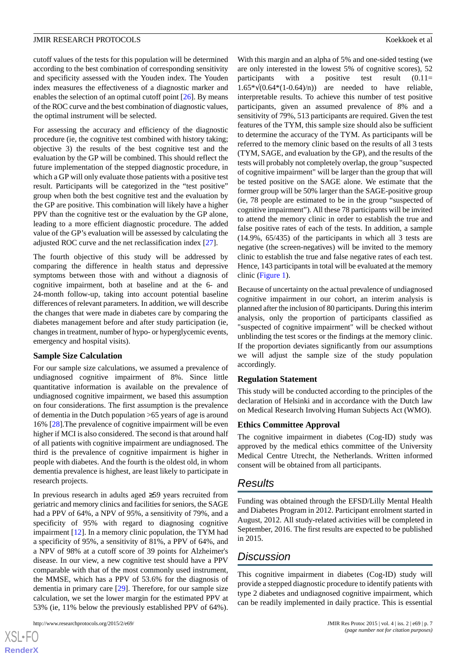#### JMIR RESEARCH PROTOCOLS Koekkoek et al

cutoff values of the tests for this population will be determined according to the best combination of corresponding sensitivity and specificity assessed with the Youden index. The Youden index measures the effectiveness of a diagnostic marker and enables the selection of an optimal cutoff point [\[26](#page-8-20)]. By means of the ROC curve and the best combination of diagnostic values, the optimal instrument will be selected.

For assessing the accuracy and efficiency of the diagnostic procedure (ie, the cognitive test combined with history taking; objective 3) the results of the best cognitive test and the evaluation by the GP will be combined. This should reflect the future implementation of the stepped diagnostic procedure, in which a GP will only evaluate those patients with a positive test result. Participants will be categorized in the "test positive" group when both the best cognitive test and the evaluation by the GP are positive. This combination will likely have a higher PPV than the cognitive test or the evaluation by the GP alone, leading to a more efficient diagnostic procedure. The added value of the GP's evaluation will be assessed by calculating the adjusted ROC curve and the net reclassification index [[27\]](#page-8-21).

The fourth objective of this study will be addressed by comparing the difference in health status and depressive symptoms between those with and without a diagnosis of cognitive impairment, both at baseline and at the 6- and 24-month follow-up, taking into account potential baseline differences of relevant parameters. In addition, we will describe the changes that were made in diabetes care by comparing the diabetes management before and after study participation (ie, changes in treatment, number of hypo- or hyperglycemic events, emergency and hospital visits).

#### **Sample Size Calculation**

For our sample size calculations, we assumed a prevalence of undiagnosed cognitive impairment of 8%. Since little quantitative information is available on the prevalence of undiagnosed cognitive impairment, we based this assumption on four considerations. The first assumption is the prevalence of dementia in the Dutch population >65 years of age is around 16% [\[28](#page-8-22)].The prevalence of cognitive impairment will be even higher if MCI is also considered. The second is that around half of all patients with cognitive impairment are undiagnosed. The third is the prevalence of cognitive impairment is higher in people with diabetes. And the fourth is the oldest old, in whom dementia prevalence is highest, are least likely to participate in research projects.

In previous research in adults aged ≥59 years recruited from geriatric and memory clinics and facilities for seniors, the SAGE had a PPV of 64%, a NPV of 95%, a sensitivity of 79%, and a specificity of 95% with regard to diagnosing cognitive impairment [\[12](#page-8-6)]. In a memory clinic population, the TYM had a specificity of 95%, a sensitivity of 81%, a PPV of 64%, and a NPV of 98% at a cutoff score of 39 points for Alzheimer's disease. In our view, a new cognitive test should have a PPV comparable with that of the most commonly used instrument, the MMSE, which has a PPV of 53.6% for the diagnosis of dementia in primary care [\[29](#page-8-23)]. Therefore, for our sample size calculation, we set the lower margin for the estimated PPV at 53% (ie, 11% below the previously established PPV of 64%).

```
http://www.researchprotocols.org/2015/2/e69/ JMIR Res Protoc 2015 | vol. 4 | iss. 2 | e69 | p. 7
```
With this margin and an alpha of 5% and one-sided testing (we are only interested in the lowest 5% of cognitive scores), 52 participants with a positive test result  $(0.11=$  $1.65*\sqrt{(0.64*(1-0.64)/n)}$  are needed to have reliable, interpretable results. To achieve this number of test positive participants, given an assumed prevalence of 8% and a sensitivity of 79%, 513 participants are required. Given the test features of the TYM, this sample size should also be sufficient to determine the accuracy of the TYM. As participants will be referred to the memory clinic based on the results of all 3 tests (TYM, SAGE, and evaluation by the GP), and the results of the tests will probably not completely overlap, the group "suspected of cognitive impairment" will be larger than the group that will be tested positive on the SAGE alone. We estimate that the former group will be 50% larger than the SAGE-positive group (ie, 78 people are estimated to be in the group "suspected of cognitive impairment"). All these 78 participants will be invited to attend the memory clinic in order to establish the true and false positive rates of each of the tests. In addition, a sample (14.9%, 65/435) of the participants in which all 3 tests are negative (the screen-negatives) will be invited to the memory clinic to establish the true and false negative rates of each test. Hence, 143 participants in total will be evaluated at the memory clinic ([Figure 1](#page-4-0)).

Because of uncertainty on the actual prevalence of undiagnosed cognitive impairment in our cohort, an interim analysis is planned after the inclusion of 80 participants. During this interim analysis, only the proportion of participants classified as "suspected of cognitive impairment" will be checked without unblinding the test scores or the findings at the memory clinic. If the proportion deviates significantly from our assumptions we will adjust the sample size of the study population accordingly.

#### **Regulation Statement**

This study will be conducted according to the principles of the declaration of Helsinki and in accordance with the Dutch law on Medical Research Involving Human Subjects Act (WMO).

#### **Ethics Committee Approval**

The cognitive impairment in diabetes (Cog-ID) study was approved by the medical ethics committee of the University Medical Centre Utrecht, the Netherlands. Written informed consent will be obtained from all participants.

# *Results*

Funding was obtained through the EFSD/Lilly Mental Health and Diabetes Program in 2012. Participant enrolment started in August, 2012. All study-related activities will be completed in September, 2016. The first results are expected to be published in 2015.

# *Discussion*

This cognitive impairment in diabetes (Cog-ID) study will provide a stepped diagnostic procedure to identify patients with type 2 diabetes and undiagnosed cognitive impairment, which can be readily implemented in daily practice. This is essential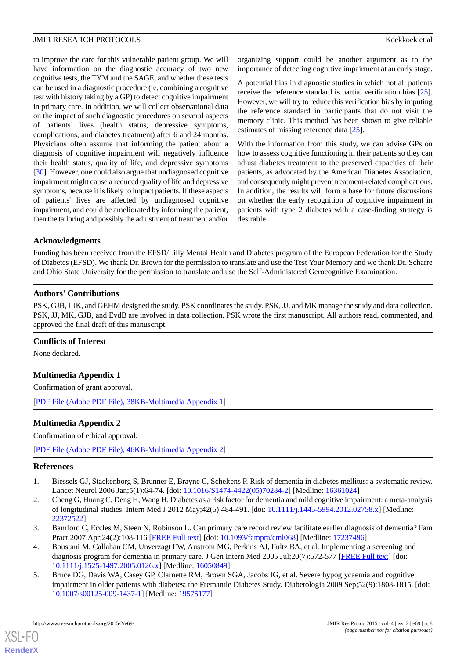to improve the care for this vulnerable patient group. We will have information on the diagnostic accuracy of two new cognitive tests, the TYM and the SAGE, and whether these tests can be used in a diagnostic procedure (ie, combining a cognitive test with history taking by a GP) to detect cognitive impairment in primary care. In addition, we will collect observational data on the impact of such diagnostic procedures on several aspects of patients' lives (health status, depressive symptoms, complications, and diabetes treatment) after 6 and 24 months. Physicians often assume that informing the patient about a diagnosis of cognitive impairment will negatively influence their health status, quality of life, and depressive symptoms [[30\]](#page-9-0). However, one could also argue that undiagnosed cognitive impairment might cause a reduced quality of life and depressive symptoms, because it is likely to impact patients. If these aspects of patients' lives are affected by undiagnosed cognitive impairment, and could be ameliorated by informing the patient, then the tailoring and possibly the adjustment of treatment and/or organizing support could be another argument as to the importance of detecting cognitive impairment at an early stage.

A potential bias in diagnostic studies in which not all patients receive the reference standard is partial verification bias [[25\]](#page-8-19). However, we will try to reduce this verification bias by imputing the reference standard in participants that do not visit the memory clinic. This method has been shown to give reliable estimates of missing reference data [[25\]](#page-8-19).

With the information from this study, we can advise GPs on how to assess cognitive functioning in their patients so they can adjust diabetes treatment to the preserved capacities of their patients, as advocated by the American Diabetes Association, and consequently might prevent treatment-related complications. In addition, the results will form a base for future discussions on whether the early recognition of cognitive impairment in patients with type 2 diabetes with a case-finding strategy is desirable.

## **Acknowledgments**

Funding has been received from the EFSD/Lilly Mental Health and Diabetes program of the European Federation for the Study of Diabetes (EFSD). We thank Dr. Brown for the permission to translate and use the Test Your Memory and we thank Dr. Scharre and Ohio State University for the permission to translate and use the Self-Administered Gerocognitive Examination.

## **Authors' Contributions**

PSK, GJB, LJK, and GEHM designed the study. PSK coordinates the study. PSK, JJ, and MK manage the study and data collection. PSK, JJ, MK, GJB, and EvdB are involved in data collection. PSK wrote the first manuscript. All authors read, commented, and approved the final draft of this manuscript.

#### **Conflicts of Interest**

None declared.

# **Multimedia Appendix 1**

Confirmation of grant approval.

[[PDF File \(Adobe PDF File\), 38KB-Multimedia Appendix 1](https://jmir.org/api/download?alt_name=resprot_v4i2e69_app1.pdf&filename=21f22178c92518f700ca318ea0573b3b.pdf)]

# **Multimedia Appendix 2**

<span id="page-7-0"></span>Confirmation of ethical approval.

<span id="page-7-1"></span>[[PDF File \(Adobe PDF File\), 46KB-Multimedia Appendix 2](https://jmir.org/api/download?alt_name=resprot_v4i2e69_app2.pdf&filename=cab097a16e06e23c425f428afaa8bd10.pdf)]

#### **References**

- <span id="page-7-2"></span>1. Biessels GJ, Staekenborg S, Brunner E, Brayne C, Scheltens P. Risk of dementia in diabetes mellitus: a systematic review. Lancet Neurol 2006 Jan;5(1):64-74. [doi: [10.1016/S1474-4422\(05\)70284-2](http://dx.doi.org/10.1016/S1474-4422(05)70284-2)] [Medline: [16361024](http://www.ncbi.nlm.nih.gov/entrez/query.fcgi?cmd=Retrieve&db=PubMed&list_uids=16361024&dopt=Abstract)]
- <span id="page-7-3"></span>2. Cheng G, Huang C, Deng H, Wang H. Diabetes as a risk factor for dementia and mild cognitive impairment: a meta-analysis of longitudinal studies. Intern Med J 2012 May;42(5):484-491. [doi: [10.1111/j.1445-5994.2012.02758.x\]](http://dx.doi.org/10.1111/j.1445-5994.2012.02758.x) [Medline: [22372522](http://www.ncbi.nlm.nih.gov/entrez/query.fcgi?cmd=Retrieve&db=PubMed&list_uids=22372522&dopt=Abstract)]
- <span id="page-7-4"></span>3. Bamford C, Eccles M, Steen N, Robinson L. Can primary care record review facilitate earlier diagnosis of dementia? Fam Pract 2007 Apr; 24(2): 108-116 [\[FREE Full text](http://fampra.oxfordjournals.org/cgi/pmidlookup?view=long&pmid=17237496)] [doi: [10.1093/fampra/cml068\]](http://dx.doi.org/10.1093/fampra/cml068) [Medline: [17237496\]](http://www.ncbi.nlm.nih.gov/entrez/query.fcgi?cmd=Retrieve&db=PubMed&list_uids=17237496&dopt=Abstract)
- 4. Boustani M, Callahan CM, Unverzagt FW, Austrom MG, Perkins AJ, Fultz BA, et al. Implementing a screening and diagnosis program for dementia in primary care. J Gen Intern Med 2005 Jul;20(7):572-577 [[FREE Full text](http://europepmc.org/abstract/MED/16050849)] [doi: [10.1111/j.1525-1497.2005.0126.x\]](http://dx.doi.org/10.1111/j.1525-1497.2005.0126.x) [Medline: [16050849\]](http://www.ncbi.nlm.nih.gov/entrez/query.fcgi?cmd=Retrieve&db=PubMed&list_uids=16050849&dopt=Abstract)
- 5. Bruce DG, Davis WA, Casey GP, Clarnette RM, Brown SGA, Jacobs IG, et al. Severe hypoglycaemia and cognitive impairment in older patients with diabetes: the Fremantle Diabetes Study. Diabetologia 2009 Sep;52(9):1808-1815. [doi: [10.1007/s00125-009-1437-1\]](http://dx.doi.org/10.1007/s00125-009-1437-1) [Medline: [19575177](http://www.ncbi.nlm.nih.gov/entrez/query.fcgi?cmd=Retrieve&db=PubMed&list_uids=19575177&dopt=Abstract)]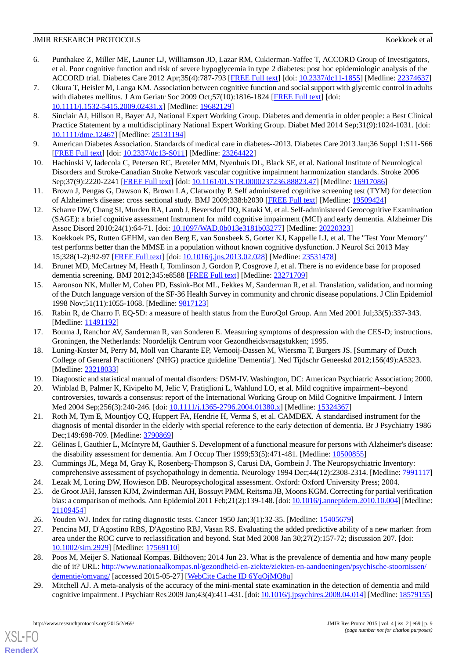## JMIR RESEARCH PROTOCOLS Koekkoek et al

- <span id="page-8-0"></span>6. Punthakee Z, Miller ME, Launer LJ, Williamson JD, Lazar RM, Cukierman-Yaffee T, ACCORD Group of Investigators, et al. Poor cognitive function and risk of severe hypoglycemia in type 2 diabetes: post hoc epidemiologic analysis of the ACCORD trial. Diabetes Care 2012 Apr;35(4):787-793 [[FREE Full text](http://europepmc.org/abstract/MED/22374637)] [doi: [10.2337/dc11-1855](http://dx.doi.org/10.2337/dc11-1855)] [Medline: [22374637](http://www.ncbi.nlm.nih.gov/entrez/query.fcgi?cmd=Retrieve&db=PubMed&list_uids=22374637&dopt=Abstract)]
- <span id="page-8-1"></span>7. Okura T, Heisler M, Langa KM. Association between cognitive function and social support with glycemic control in adults with diabetes mellitus. J Am Geriatr Soc 2009 Oct;57(10):1816-1824 [[FREE Full text](http://europepmc.org/abstract/MED/19682129)] [doi: [10.1111/j.1532-5415.2009.02431.x\]](http://dx.doi.org/10.1111/j.1532-5415.2009.02431.x) [Medline: [19682129\]](http://www.ncbi.nlm.nih.gov/entrez/query.fcgi?cmd=Retrieve&db=PubMed&list_uids=19682129&dopt=Abstract)
- <span id="page-8-2"></span>8. Sinclair AJ, Hillson R, Bayer AJ, National Expert Working Group. Diabetes and dementia in older people: a Best Clinical Practice Statement by a multidisciplinary National Expert Working Group. Diabet Med 2014 Sep;31(9):1024-1031. [doi: [10.1111/dme.12467](http://dx.doi.org/10.1111/dme.12467)] [Medline: [25131194](http://www.ncbi.nlm.nih.gov/entrez/query.fcgi?cmd=Retrieve&db=PubMed&list_uids=25131194&dopt=Abstract)]
- <span id="page-8-4"></span><span id="page-8-3"></span>9. American Diabetes Association. Standards of medical care in diabetes--2013. Diabetes Care 2013 Jan;36 Suppl 1:S11-S66 [[FREE Full text](http://europepmc.org/abstract/MED/23264422)] [doi: [10.2337/dc13-S011](http://dx.doi.org/10.2337/dc13-S011)] [Medline: [23264422\]](http://www.ncbi.nlm.nih.gov/entrez/query.fcgi?cmd=Retrieve&db=PubMed&list_uids=23264422&dopt=Abstract)
- <span id="page-8-5"></span>10. Hachinski V, Iadecola C, Petersen RC, Breteler MM, Nyenhuis DL, Black SE, et al. National Institute of Neurological Disorders and Stroke-Canadian Stroke Network vascular cognitive impairment harmonization standards. Stroke 2006 Sep;37(9):2220-2241 [[FREE Full text](http://stroke.ahajournals.org/cgi/pmidlookup?view=long&pmid=16917086)] [doi: [10.1161/01.STR.0000237236.88823.47](http://dx.doi.org/10.1161/01.STR.0000237236.88823.47)] [Medline: [16917086\]](http://www.ncbi.nlm.nih.gov/entrez/query.fcgi?cmd=Retrieve&db=PubMed&list_uids=16917086&dopt=Abstract)
- <span id="page-8-6"></span>11. Brown J, Pengas G, Dawson K, Brown LA, Clatworthy P. Self administered cognitive screening test (TYM) for detection of Alzheimer's disease: cross sectional study. BMJ 2009;338:b2030 [\[FREE Full text\]](http://www.bmj.com/cgi/pmidlookup?view=long&pmid=19509424) [Medline: [19509424\]](http://www.ncbi.nlm.nih.gov/entrez/query.fcgi?cmd=Retrieve&db=PubMed&list_uids=19509424&dopt=Abstract)
- <span id="page-8-7"></span>12. Scharre DW, Chang SI, Murden RA, Lamb J, Beversdorf DQ, Kataki M, et al. Self-administered Gerocognitive Examination (SAGE): a brief cognitive assessment Instrument for mild cognitive impairment (MCI) and early dementia. Alzheimer Dis Assoc Disord 2010;24(1):64-71. [doi: [10.1097/WAD.0b013e3181b03277](http://dx.doi.org/10.1097/WAD.0b013e3181b03277)] [Medline: [20220323\]](http://www.ncbi.nlm.nih.gov/entrez/query.fcgi?cmd=Retrieve&db=PubMed&list_uids=20220323&dopt=Abstract)
- <span id="page-8-8"></span>13. Koekkoek PS, Rutten GEHM, van den Berg E, van Sonsbeek S, Gorter KJ, Kappelle LJ, et al. The "Test Your Memory" test performs better than the MMSE in a population without known cognitive dysfunction. J Neurol Sci 2013 May 15;328(1-2):92-97 [\[FREE Full text\]](http://linkinghub.elsevier.com/retrieve/pii/S0022-510X(13)00109-3) [doi: [10.1016/j.jns.2013.02.028\]](http://dx.doi.org/10.1016/j.jns.2013.02.028) [Medline: [23531478](http://www.ncbi.nlm.nih.gov/entrez/query.fcgi?cmd=Retrieve&db=PubMed&list_uids=23531478&dopt=Abstract)]
- <span id="page-8-9"></span>14. Brunet MD, McCartney M, Heath I, Tomlinson J, Gordon P, Cosgrove J, et al. There is no evidence base for proposed dementia screening. BMJ 2012;345:e8588 [[FREE Full text](http://www.bmj.com.proxy.library.uu.nl/content/345/bmj.e8588?tab=metrics)] [Medline: [23271709\]](http://www.ncbi.nlm.nih.gov/entrez/query.fcgi?cmd=Retrieve&db=PubMed&list_uids=23271709&dopt=Abstract)
- <span id="page-8-10"></span>15. Aaronson NK, Muller M, Cohen PD, Essink-Bot ML, Fekkes M, Sanderman R, et al. Translation, validation, and norming of the Dutch language version of the SF-36 Health Survey in community and chronic disease populations. J Clin Epidemiol 1998 Nov;51(11):1055-1068. [Medline: [9817123\]](http://www.ncbi.nlm.nih.gov/entrez/query.fcgi?cmd=Retrieve&db=PubMed&list_uids=9817123&dopt=Abstract)
- <span id="page-8-12"></span><span id="page-8-11"></span>16. Rabin R, de Charro F. EQ-5D: a measure of health status from the EuroQol Group. Ann Med 2001 Jul;33(5):337-343. [Medline: [11491192](http://www.ncbi.nlm.nih.gov/entrez/query.fcgi?cmd=Retrieve&db=PubMed&list_uids=11491192&dopt=Abstract)]
- 17. Bouma J, Ranchor AV, Sanderman R, van Sonderen E. Measuring symptoms of despression with the CES-D; instructions. Groningen, the Netherlands: Noordelijk Centrum voor Gezondheidsvraagstukken; 1995.
- <span id="page-8-14"></span><span id="page-8-13"></span>18. Luning-Koster M, Perry M, Moll van Charante EP, Vernooij-Dassen M, Wiersma T, Burgers JS. [Summary of Dutch College of General Practitioners' (NHG) practice guideline 'Dementia']. Ned Tijdschr Geneeskd 2012;156(49):A5323. [Medline: [23218033](http://www.ncbi.nlm.nih.gov/entrez/query.fcgi?cmd=Retrieve&db=PubMed&list_uids=23218033&dopt=Abstract)]
- <span id="page-8-15"></span>19. Diagnostic and statistical manual of mental disorders: DSM-IV. Washington, DC: American Psychiatric Association; 2000.
- <span id="page-8-16"></span>20. Winblad B, Palmer K, Kivipelto M, Jelic V, Fratiglioni L, Wahlund LO, et al. Mild cognitive impairment--beyond controversies, towards a consensus: report of the International Working Group on Mild Cognitive Impairment. J Intern Med 2004 Sep;256(3):240-246. [doi: [10.1111/j.1365-2796.2004.01380.x](http://dx.doi.org/10.1111/j.1365-2796.2004.01380.x)] [Medline: [15324367\]](http://www.ncbi.nlm.nih.gov/entrez/query.fcgi?cmd=Retrieve&db=PubMed&list_uids=15324367&dopt=Abstract)
- <span id="page-8-17"></span>21. Roth M, Tym E, Mountjoy CQ, Huppert FA, Hendrie H, Verma S, et al. CAMDEX. A standardised instrument for the diagnosis of mental disorder in the elderly with special reference to the early detection of dementia. Br J Psychiatry 1986 Dec;149:698-709. [Medline: [3790869](http://www.ncbi.nlm.nih.gov/entrez/query.fcgi?cmd=Retrieve&db=PubMed&list_uids=3790869&dopt=Abstract)]
- <span id="page-8-19"></span><span id="page-8-18"></span>22. Gélinas I, Gauthier L, McIntyre M, Gauthier S. Development of a functional measure for persons with Alzheimer's disease: the disability assessment for dementia. Am J Occup Ther 1999;53(5):471-481. [Medline: [10500855](http://www.ncbi.nlm.nih.gov/entrez/query.fcgi?cmd=Retrieve&db=PubMed&list_uids=10500855&dopt=Abstract)]
- <span id="page-8-20"></span>23. Cummings JL, Mega M, Gray K, Rosenberg-Thompson S, Carusi DA, Gornbein J. The Neuropsychiatric Inventory: comprehensive assessment of psychopathology in dementia. Neurology 1994 Dec;44(12):2308-2314. [Medline: [7991117](http://www.ncbi.nlm.nih.gov/entrez/query.fcgi?cmd=Retrieve&db=PubMed&list_uids=7991117&dopt=Abstract)]
- <span id="page-8-21"></span>24. Lezak M, Loring DW, Howieson DB. Neuropsychological assessment. Oxford: Oxford University Press; 2004.
- <span id="page-8-22"></span>25. de Groot JAH, Janssen KJM, Zwinderman AH, Bossuyt PMM, Reitsma JB, Moons KGM. Correcting for partial verification bias: a comparison of methods. Ann Epidemiol 2011 Feb; 21(2): 139-148. [doi: 10.1016/j.annepidem. 2010.10.004] [Medline: [21109454](http://www.ncbi.nlm.nih.gov/entrez/query.fcgi?cmd=Retrieve&db=PubMed&list_uids=21109454&dopt=Abstract)]
- 26. Youden WJ. Index for rating diagnostic tests. Cancer 1950 Jan;3(1):32-35. [Medline: [15405679](http://www.ncbi.nlm.nih.gov/entrez/query.fcgi?cmd=Retrieve&db=PubMed&list_uids=15405679&dopt=Abstract)]
- <span id="page-8-23"></span>27. Pencina MJ, D'Agostino RBS, D'Agostino RBJ, Vasan RS. Evaluating the added predictive ability of a new marker: from area under the ROC curve to reclassification and beyond. Stat Med 2008 Jan 30;27(2):157-72; discussion 207. [doi: [10.1002/sim.2929\]](http://dx.doi.org/10.1002/sim.2929) [Medline: [17569110](http://www.ncbi.nlm.nih.gov/entrez/query.fcgi?cmd=Retrieve&db=PubMed&list_uids=17569110&dopt=Abstract)]
- 28. Poos M, Meijer S. Nationaal Kompas. Bilthoven; 2014 Jun 23. What is the prevalence of dementia and how many people die of it? URL: [http://www.nationaalkompas.nl/gezondheid-en-ziekte/ziekten-en-aandoeningen/psychische-stoornissen/](http://www.nationaalkompas.nl/gezondheid-en-ziekte/ziekten-en-aandoeningen/psychische-stoornissen/dementie/omvang/) [dementie/omvang/](http://www.nationaalkompas.nl/gezondheid-en-ziekte/ziekten-en-aandoeningen/psychische-stoornissen/dementie/omvang/) [accessed 2015-05-27] [[WebCite Cache ID 6YqOjMQ8u\]](http://www.webcitation.org/

                                    6YqOjMQ8u)
- 29. Mitchell AJ. A meta-analysis of the accuracy of the mini-mental state examination in the detection of dementia and mild cognitive impairment. J Psychiatr Res 2009 Jan;43(4):411-431. [doi: [10.1016/j.jpsychires.2008.04.014](http://dx.doi.org/10.1016/j.jpsychires.2008.04.014)] [Medline: [18579155\]](http://www.ncbi.nlm.nih.gov/entrez/query.fcgi?cmd=Retrieve&db=PubMed&list_uids=18579155&dopt=Abstract)